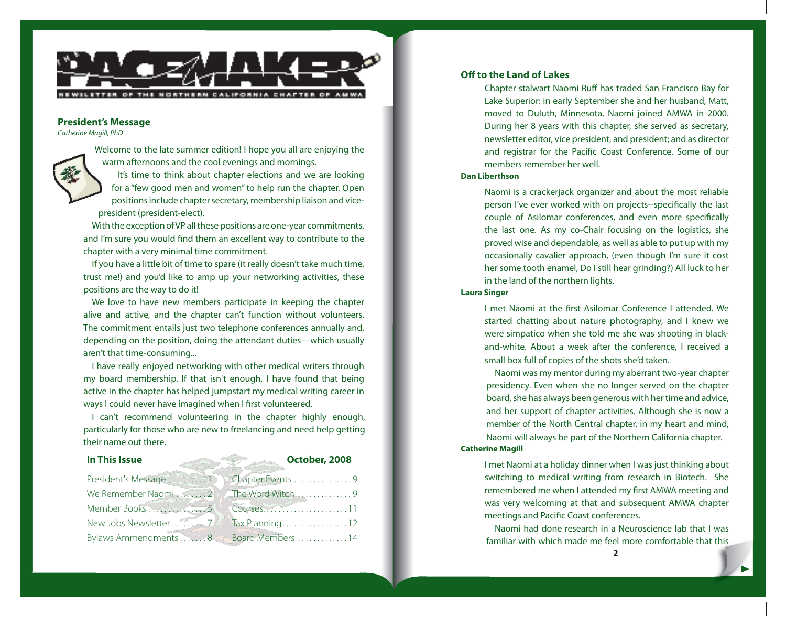

#### **President's Message**

Catherine Magill, PhD

Welcome to the late summer edition! I hope you all are enjoying the warm afternoons and the cool evenings and mornings.

It's time to think about chapter elections and we are looking for a "few good men and women" to help run the chapter. Open positions include chapter secretary, membership liaison and vicepresident (president-elect).

With the exception of VP all these positions are one-year commitments, and I'm sure you would find them an excellent way to contribute to the chapter with a very minimal time commitment.

If you have a little bit of time to spare (it really doesn't take much time, trust me!) and you'd like to amp up your networking activities, these positions are the way to do it!

We love to have new members participate in keeping the chapter alive and active, and the chapter can't function without volunteers. The commitment entails just two telephone conferences annually and, depending on the position, doing the attendant duties—which usually aren't that time-consuming...

I have really enjoyed networking with other medical writers through my board membership. If that isn't enough, I have found that being active in the chapter has helped jumpstart my medical writing career in ways I could never have imagined when I first volunteered.

I can't recommend volunteering in the chapter highly enough, particularly for those who are new to freelancing and need help getting their name out there.

#### President's Message . . . . . . . . . 1  $M \cap \mathbb{R}$  in  $M \cap \mathbb{R}$ Chapter Events . . . . . . . . . . . . . . 9 The Word Witch . . . . . . . . . . . . . . 9 **In This Issue Catalogue Contract Contract Contract Contract Contract Contract Contract Contract Contract Contract Contract Contract Contract Contract Contract Contract Contract Contract Contract Contract Contract Contract**

| We remember Naomer Street by The Word Witch $\ldots \ldots \ldots$ |  |
|--------------------------------------------------------------------|--|
|                                                                    |  |
|                                                                    |  |
| Bylaws Ammendments  8 Board Members  14                            |  |

# **Off to the Land of Lakes**

Chapter stalwart Naomi Ruff has traded San Francisco Bay for Lake Superior: in early September she and her husband, Matt, moved to Duluth, Minnesota. Naomi joined AMWA in 2000. During her 8 years with this chapter, she served as secretary, newsletter editor, vice president, and president; and as director and registrar for the Pacific Coast Conference. Some of our members remember her well.

# **Dan Liberthson**

Naomi is a crackerjack organizer and about the most reliable person I've ever worked with on projects--specifically the last couple of Asilomar conferences, and even more specifically the last one. As my co-Chair focusing on the logistics, she proved wise and dependable, as well as able to put up with my occasionally cavalier approach, (even though I'm sure it cost her some tooth enamel, Do I still hear grinding?) All luck to her in the land of the northern lights.

#### **Laura Singer**

I met Naomi at the first Asilomar Conference I attended. We started chatting about nature photography, and I knew we were simpatico when she told me she was shooting in blackand-white. About a week after the conference, I received a small box full of copies of the shots she'd taken.

Naomi was my mentor during my aberrant two-year chapter presidency. Even when she no longer served on the chapter board, she has always been generous with her time and advice, and her support of chapter activities. Although she is now a member of the North Central chapter, in my heart and mind, Naomi will always be part of the Northern California chapter.

# **Catherine Magill**

I met Naomi at a holiday dinner when I was just thinking about switching to medical writing from research in Biotech. She remembered me when I attended my first AMWA meeting and was very welcoming at that and subsequent AMWA chapter meetings and Pacific Coast conferences.

Naomi had done research in a Neuroscience lab that I was familiar with which made me feel more comfortable that this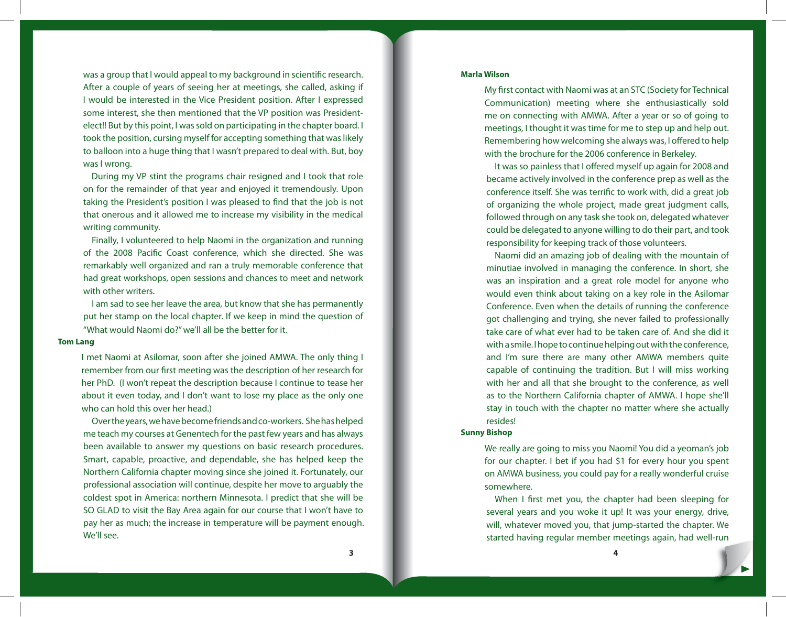was a group that I would appeal to my background in scientific research. After a couple of years of seeing her at meetings, she called, asking if I would be interested in the Vice President position. After I expressed some interest, she then mentioned that the VP position was Presidentelect!! But by this point, I was sold on participating in the chapter board. I took the position, cursing myself for accepting something that was likely to balloon into a huge thing that I wasn't prepared to deal with. But, boy was I wrong.

During my VP stint the programs chair resigned and I took that role on for the remainder of that year and enjoyed it tremendously. Upon taking the President's position I was pleased to find that the job is not that onerous and it allowed me to increase my visibility in the medical writing community.

Finally, I volunteered to help Naomi in the organization and running of the 2008 Pacific Coast conference, which she directed. She was remarkably well organized and ran a truly memorable conference that had great workshops, open sessions and chances to meet and network with other writers.

I am sad to see her leave the area, but know that she has permanently put her stamp on the local chapter. If we keep in mind the question of "What would Naomi do?" we'll all be the better for it.

#### **Tom Lang**

I met Naomi at Asilomar, soon after she joined AMWA. The only thing I remember from our first meeting was the description of her research for her PhD. (I won't repeat the description because I continue to tease her about it even today, and I don't want to lose my place as the only one who can hold this over her head.)

Over the years, we have become friends and co-workers. She has helped me teach my courses at Genentech for the past few years and has always been available to answer my questions on basic research procedures. Smart, capable, proactive, and dependable, she has helped keep the Northern California chapter moving since she joined it. Fortunately, our professional association will continue, despite her move to arguably the coldest spot in America: northern Minnesota. I predict that she will be SO GLAD to visit the Bay Area again for our course that I won't have to pay her as much; the increase in temperature will be payment enough. We'll see.

## **Marla Wilson**

My first contact with Naomi was at an STC (Society for Technical Communication) meeting where she enthusiastically sold me on connecting with AMWA. After a year or so of going to meetings, I thought it was time for me to step up and help out. Remembering how welcoming she always was, I offered to help with the brochure for the 2006 conference in Berkeley.

It was so painless that I offered myself up again for 2008 and became actively involved in the conference prep as well as the conference itself. She was terrific to work with, did a great job of organizing the whole project, made great judgment calls, followed through on any task she took on, delegated whatever could be delegated to anyone willing to do their part, and took responsibility for keeping track of those volunteers.

Naomi did an amazing job of dealing with the mountain of minutiae involved in managing the conference. In short, she was an inspiration and a great role model for anyone who would even think about taking on a key role in the Asilomar Conference. Even when the details of running the conference got challenging and trying, she never failed to professionally take care of what ever had to be taken care of. And she did it with a smile. I hope to continue helping out with the conference, and I'm sure there are many other AMWA members quite capable of continuing the tradition. But I will miss working with her and all that she brought to the conference, as well as to the Northern California chapter of AMWA. I hope she'll stay in touch with the chapter no matter where she actually resides!

## **Sunny Bishop**

We really are going to miss you Naomi! You did a yeoman's job for our chapter. I bet if you had \$1 for every hour you spent on AMWA business, you could pay for a really wonderful cruise somewhere.

When I first met you, the chapter had been sleeping for several years and you woke it up! It was your energy, drive, will, whatever moved you, that jump-started the chapter. We started having regular member meetings again, had well-run

**3 4**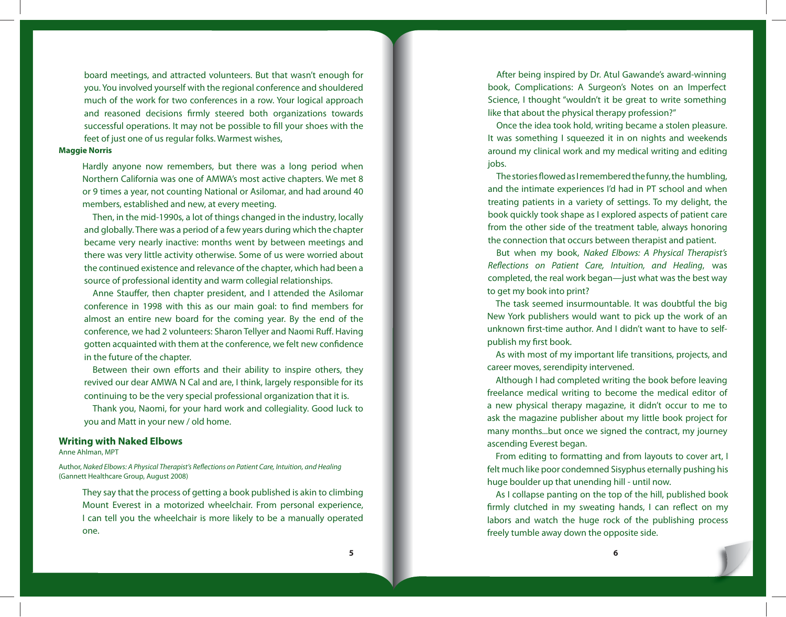board meetings, and attracted volunteers. But that wasn't enough for you. You involved yourself with the regional conference and shouldered much of the work for two conferences in a row. Your logical approach and reasoned decisions firmly steered both organizations towards successful operations. It may not be possible to fill your shoes with the feet of just one of us regular folks. Warmest wishes,

## **Maggie Norris**

Hardly anyone now remembers, but there was a long period when Northern California was one of AMWA's most active chapters. We met 8 or 9 times a year, not counting National or Asilomar, and had around 40 members, established and new, at every meeting.

Then, in the mid-1990s, a lot of things changed in the industry, locally and globally. There was a period of a few years during which the chapter became very nearly inactive: months went by between meetings and there was very little activity otherwise. Some of us were worried about the continued existence and relevance of the chapter, which had been a source of professional identity and warm collegial relationships.

Anne Stauffer, then chapter president, and I attended the Asilomar conference in 1998 with this as our main goal: to find members for almost an entire new board for the coming year. By the end of the conference, we had 2 volunteers: Sharon Tellyer and Naomi Ruff. Having gotten acquainted with them at the conference, we felt new confidence in the future of the chapter.

Between their own efforts and their ability to inspire others, they revived our dear AMWA N Cal and are, I think, largely responsible for its continuing to be the very special professional organization that it is.

Thank you, Naomi, for your hard work and collegiality. Good luck to you and Matt in your new / old home.

# **Writing with Naked Elbows**

Anne Ahlman, MPT

Author, Naked Elbows: A Physical Therapist's Reflections on Patient Care, Intuition, and Healing (Gannett Healthcare Group, August 2008)

They say that the process of getting a book published is akin to climbing Mount Everest in a motorized wheelchair. From personal experience, I can tell you the wheelchair is more likely to be a manually operated one.

After being inspired by Dr. Atul Gawande's award-winning book, Complications: A Surgeon's Notes on an Imperfect Science, I thought "wouldn't it be great to write something like that about the physical therapy profession?"

Once the idea took hold, writing became a stolen pleasure. It was something I squeezed it in on nights and weekends around my clinical work and my medical writing and editing jobs.

The stories flowed as I remembered the funny, the humbling, and the intimate experiences I'd had in PT school and when treating patients in a variety of settings. To my delight, the book quickly took shape as I explored aspects of patient care from the other side of the treatment table, always honoring the connection that occurs between therapist and patient.

But when my book, Naked Elbows: A Physical Therapist's Reflections on Patient Care, Intuition, and Healing, was completed, the real work began—just what was the best way to get my book into print?

The task seemed insurmountable. It was doubtful the big New York publishers would want to pick up the work of an unknown first-time author. And I didn't want to have to selfpublish my first book.

As with most of my important life transitions, projects, and career moves, serendipity intervened.

Although I had completed writing the book before leaving freelance medical writing to become the medical editor of a new physical therapy magazine, it didn't occur to me to ask the magazine publisher about my little book project for many months...but once we signed the contract, my journey ascending Everest began.

From editing to formatting and from layouts to cover art, I felt much like poor condemned Sisyphus eternally pushing his huge boulder up that unending hill - until now.

As I collapse panting on the top of the hill, published book firmly clutched in my sweating hands, I can reflect on my labors and watch the huge rock of the publishing process freely tumble away down the opposite side.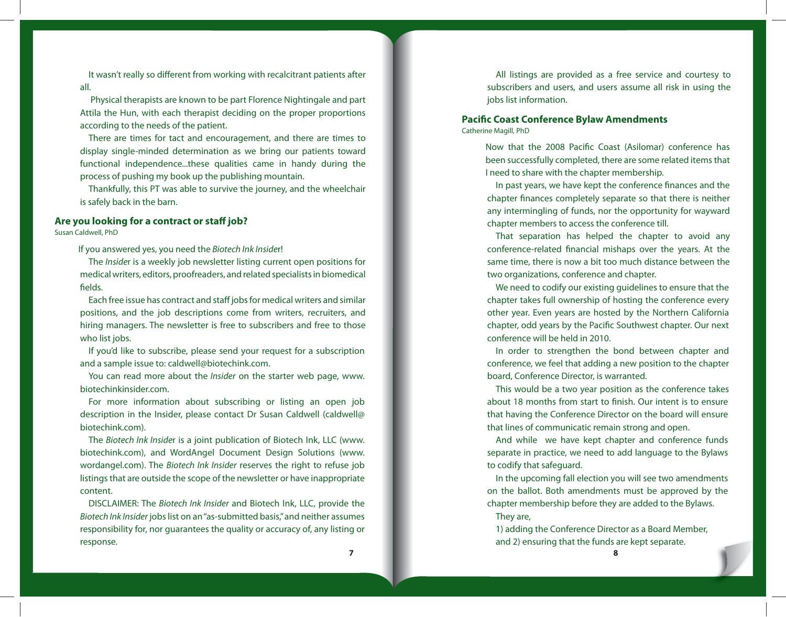It wasn't really so different from working with recalcitrant patients after all.

 Physical therapists are known to be part Florence Nightingale and part Attila the Hun, with each therapist deciding on the proper proportions according to the needs of the patient.

There are times for tact and encouragement, and there are times to display single-minded determination as we bring our patients toward functional independence...these qualities came in handy during the process of pushing my book up the publishing mountain.

Thankfully, this PT was able to survive the journey, and the wheelchair is safely back in the barn.

# **Are you looking for a contract or staff job?**

Susan Caldwell, PhD

If you answered yes, you need the Biotech Ink Insider!

The Insider is a weekly job newsletter listing current open positions for medical writers, editors, proofreaders, and related specialists in biomedical fields.

Each free issue has contract and staff jobs for medical writers and similar positions, and the job descriptions come from writers, recruiters, and hiring managers. The newsletter is free to subscribers and free to those who list jobs.

If you'd like to subscribe, please send your request for a subscription and a sample issue to: caldwell@biotechink.com.

You can read more about the *Insider* on the starter web page, www. biotechinkinsider.com.

For more information about subscribing or listing an open job description in the Insider, please contact Dr Susan Caldwell (caldwell@ biotechink.com).

The Biotech Ink Insider is a joint publication of Biotech Ink, LLC (www. biotechink.com), and WordAngel Document Design Solutions (www. wordangel.com). The Biotech Ink Insider reserves the right to refuse job listings that are outside the scope of the newsletter or have inappropriate content.

DISCLAIMER: The Biotech Ink Insider and Biotech Ink, LLC, provide the Biotech Ink Insider jobs list on an "as-submitted basis," and neither assumes responsibility for, nor guarantees the quality or accuracy of, any listing or response.

All listings are provided as a free service and courtesy to subscribers and users, and users assume all risk in using the jobs list information.

**Pacific Coast Conference Bylaw Amendments** Catherine Magill, PhD

> Now that the 2008 Pacific Coast (Asilomar) conference has been successfully completed, there are some related items that I need to share with the chapter membership.

In past years, we have kept the conference finances and the chapter finances completely separate so that there is neither any intermingling of funds, nor the opportunity for wayward chapter members to access the conference till.

That separation has helped the chapter to avoid any conference-related financial mishaps over the years. At the same time, there is now a bit too much distance between the two organizations, conference and chapter.

We need to codify our existing guidelines to ensure that the chapter takes full ownership of hosting the conference every other year. Even years are hosted by the Northern California chapter, odd years by the Pacific Southwest chapter. Our next conference will be held in 2010.

In order to strengthen the bond between chapter and conference, we feel that adding a new position to the chapter board, Conference Director, is warranted.

This would be a two year position as the conference takes about 18 months from start to finish. Our intent is to ensure that having the Conference Director on the board will ensure that lines of communicatic remain strong and open.

And while we have kept chapter and conference funds separate in practice, we need to add language to the Bylaws to codify that safeguard.

In the upcoming fall election you will see two amendments on the ballot. Both amendments must be approved by the chapter membership before they are added to the Bylaws.

They are,

1) adding the Conference Director as a Board Member, and 2) ensuring that the funds are kept separate.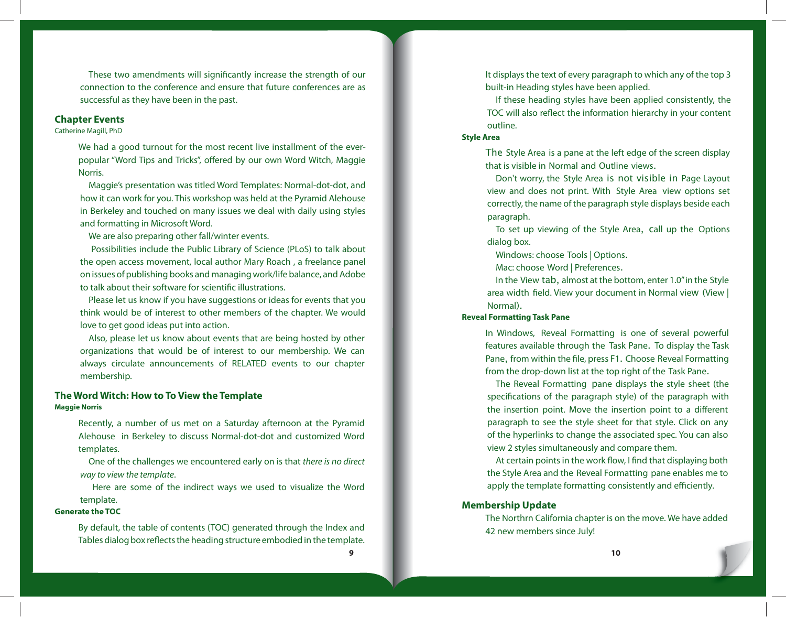These two amendments will significantly increase the strength of our connection to the conference and ensure that future conferences are as successful as they have been in the past.

#### **Chapter Events**

Catherine Magill, PhD

We had a good turnout for the most recent live installment of the everpopular "Word Tips and Tricks", offered by our own Word Witch, Maggie Norris.

Maggie's presentation was titled Word Templates: Normal-dot-dot, and how it can work for you. This workshop was held at the Pyramid Alehouse in Berkeley and touched on many issues we deal with daily using styles and formatting in Microsoft Word.

We are also preparing other fall/winter events.

 Possibilities include the Public Library of Science (PLoS) to talk about the open access movement, local author Mary Roach , a freelance panel on issues of publishing books and managing work/life balance, and Adobe to talk about their software for scientific illustrations.

Please let us know if you have suggestions or ideas for events that you think would be of interest to other members of the chapter. We would love to get good ideas put into action.

Also, please let us know about events that are being hosted by other organizations that would be of interest to our membership. We can always circulate announcements of RELATED events to our chapter membership.

# **The Word Witch: How to To View the Template Maggie Norris**

Recently, a number of us met on a Saturday afternoon at the Pyramid Alehouse in Berkeley to discuss Normal-dot-dot and customized Word templates.

One of the challenges we encountered early on is that there is no direct way to view the template.

 Here are some of the indirect ways we used to visualize the Word template.

## **Generate the TOC**

By default, the table of contents (TOC) generated through the Index and Tables dialog box reflects the heading structure embodied in the template.

It displays the text of every paragraph to which any of the top 3 built-in Heading styles have been applied.

If these heading styles have been applied consistently, the TOC will also reflect the information hierarchy in your content outline.

# **Style Area**

The Style Area is a pane at the left edge of the screen display that is visible in Normal and Outline views.

Don't worry, the Style Area is not visible in Page Layout view and does not print. With Style Area view options set correctly, the name of the paragraph style displays beside each paragraph.

To set up viewing of the Style Area, call up the Options dialog box.

Windows: choose Tools | Options.

Mac: choose Word | Preferences.

In the View tab, almost at the bottom, enter 1.0" in the Style area width field. View your document in Normal view (View | Normal).

## **Reveal Formatting Task Pane**

In Windows, Reveal Formatting is one of several powerful features available through the Task Pane. To display the Task Pane, from within the file, press F1. Choose Reveal Formatting from the drop-down list at the top right of the Task Pane.

The Reveal Formatting pane displays the style sheet (the specifications of the paragraph style) of the paragraph with the insertion point. Move the insertion point to a different paragraph to see the style sheet for that style. Click on any of the hyperlinks to change the associated spec. You can also view 2 styles simultaneously and compare them.

At certain points in the work flow, I find that displaying both the Style Area and the Reveal Formatting pane enables me to apply the template formatting consistently and efficiently.

# **Membership Update**

The Northrn California chapter is on the move. We have added 42 new members since July!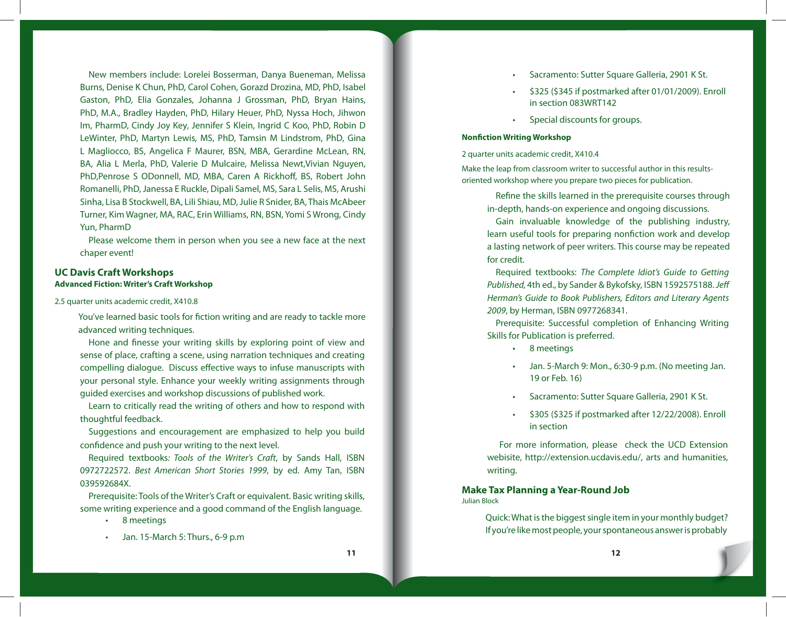New members include: Lorelei Bosserman, Danya Bueneman, Melissa Burns, Denise K Chun, PhD, Carol Cohen, Gorazd Drozina, MD, PhD, Isabel Gaston, PhD, Elia Gonzales, Johanna J Grossman, PhD, Bryan Hains, PhD, M.A., Bradley Hayden, PhD, Hilary Heuer, PhD, Nyssa Hoch, Jihwon Im, PharmD, Cindy Joy Key, Jennifer S Klein, Ingrid C Koo, PhD, Robin D LeWinter, PhD, Martyn Lewis, MS, PhD, Tamsin M Lindstrom, PhD, Gina L Magliocco, BS, Angelica F Maurer, BSN, MBA, Gerardine McLean, RN, BA, Alia L Merla, PhD, Valerie D Mulcaire, Melissa Newt,Vivian Nguyen, PhD,Penrose S ODonnell, MD, MBA, Caren A Rickhoff, BS, Robert John Romanelli, PhD, Janessa E Ruckle, Dipali Samel, MS, Sara L Selis, MS, Arushi Sinha, Lisa B Stockwell, BA, Lili Shiau, MD, Julie R Snider, BA, Thais McAbeer Turner, Kim Wagner, MA, RAC, Erin Williams, RN, BSN, Yomi S Wrong, Cindy Yun, PharmD

Please welcome them in person when you see a new face at the next chaper event!

# **UC Davis Craft Workshops Advanced Fiction: Writer's Craft Workshop**

2.5 quarter units academic credit, X410.8

You've learned basic tools for fiction writing and are ready to tackle more advanced writing techniques.

Hone and finesse your writing skills by exploring point of view and sense of place, crafting a scene, using narration techniques and creating compelling dialogue. Discuss effective ways to infuse manuscripts with your personal style. Enhance your weekly writing assignments through guided exercises and workshop discussions of published work.

Learn to critically read the writing of others and how to respond with thoughtful feedback.

Suggestions and encouragement are emphasized to help you build confidence and push your writing to the next level.

Required textbooks: Tools of the Writer's Craft, by Sands Hall, ISBN 0972722572. Best American Short Stories 1999, by ed. Amy Tan, ISBN 039592684X.

Prerequisite: Tools of the Writer's Craft or equivalent. Basic writing skills, some writing experience and a good command of the English language.

- 8 meetings
- Jan. 15-March 5: Thurs., 6-9 p.m •
- Sacramento: Sutter Square Galleria, 2901 K St. •
- \$325 (\$345 if postmarked after 01/01/2009). Enroll in section 083WRT142 •
- Special discounts for groups. •

## **Nonfiction Writing Workshop**

2 quarter units academic credit, X410.4

Make the leap from classroom writer to successful author in this resultsoriented workshop where you prepare two pieces for publication.

> Refine the skills learned in the prerequisite courses through in-depth, hands-on experience and ongoing discussions.

> Gain invaluable knowledge of the publishing industry, learn useful tools for preparing nonfiction work and develop a lasting network of peer writers. This course may be repeated for credit.

> Required textbooks: The Complete Idiot's Guide to Getting Published, 4th ed., by Sander & Bykofsky, ISBN 1592575188. Jeff Herman's Guide to Book Publishers, Editors and Literary Agents 2009, by Herman, ISBN 0977268341.

> Prerequisite: Successful completion of Enhancing Writing Skills for Publication is preferred.

- 8 meetings
- Jan. 5-March 9: Mon., 6:30-9 p.m. (No meeting Jan. 19 or Feb. 16)
- Sacramento: Sutter Square Galleria, 2901 K St.
- \$305 (\$325 if postmarked after 12/22/2008). Enroll in section

 For more information, please check the UCD Extension webisite, http://extension.ucdavis.edu/, arts and humanities, writing.

**Make Tax Planning a Year-Round Job** Julian Block

> Quick: What is the biggest single item in your monthly budget? If you're like most people, your spontaneous answer is probably